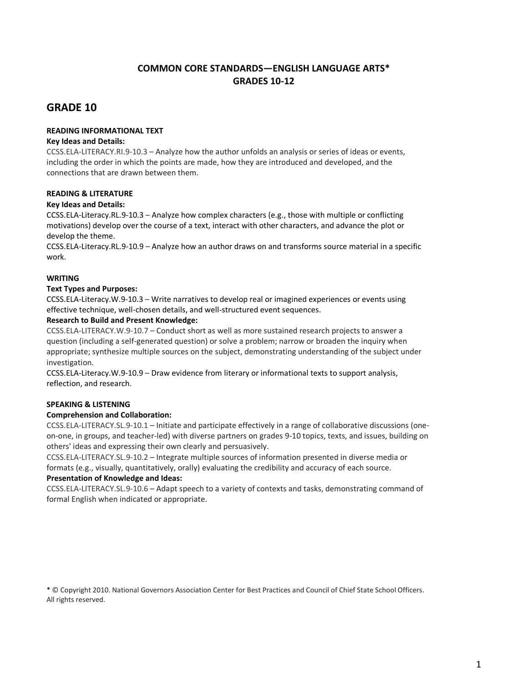# **COMMON CORE STANDARDS—ENGLISH LANGUAGE ARTS\* GRADES 10-12**

# **GRADE 10**

## **READING INFORMATIONAL TEXT**

#### **Key Ideas and Details:**

[CCSS.ELA-LITERACY.RI.9-10.3](http://www.corestandards.org/ELA-Literacy/RI/9-10/3/) – Analyze how the author unfolds an analysis or series of ideas or events, including the order in which the points are made, how they are introduced and developed, and the connections that are drawn between them.

#### **READING & LITERATURE**

#### **Key Ideas and Details:**

CCSS.ELA-Literacy.RL.9-10.3 – Analyze how complex characters (e.g., those with multiple or conflicting motivations) develop over the course of a text, interact with other characters, and advance the plot or develop the theme.

CCSS.ELA-Literacy.RL.9-10.9 – Analyze how an author draws on and transforms source material in a specific work.

## **WRITING**

## **Text Types and Purposes:**

CCSS.ELA-Literacy.W.9-10.3 – Write narratives to develop real or imagined experiences or events using effective technique, well-chosen details, and well-structured event sequences.

#### **Research to Build and Present Knowledge:**

[CCSS.ELA-LITERACY.W.9-10.7](http://www.corestandards.org/ELA-Literacy/W/9-10/7/) – Conduct short as well as more sustained research projects to answer a question (including a self-generated question) or solve a problem; narrow or broaden the inquiry when appropriate; synthesize multiple sources on the subject, demonstrating understanding of the subject under investigation.

CCSS.ELA-Literacy.W.9-10.9 – Draw evidence from literary or informational texts to support analysis, reflection, and research.

# **SPEAKING & LISTENING**

#### **Comprehension and Collaboration:**

[CCSS.ELA-LITERACY.SL.9-10.1](http://www.corestandards.org/ELA-Literacy/SL/9-10/1/) – Initiate and participate effectively in a range of collaborative discussions (oneon-one, in groups, and teacher-led) with diverse partners on grades 9-10 topics, texts, and issues, building on others' ideas and expressing their own clearly and persuasively.

[CCSS.ELA-LITERACY.SL.9-10.2](http://www.corestandards.org/ELA-Literacy/SL/9-10/2/) – Integrate multiple sources of information presented in diverse media or formats (e.g., visually, quantitatively, orally) evaluating the credibility and accuracy of each source.

#### **Presentation of Knowledge and Ideas:**

[CCSS.ELA-LITERACY.SL.9-10.6](http://www.corestandards.org/ELA-Literacy/SL/9-10/6/) – Adapt speech to a variety of contexts and tasks, demonstrating command of formal English when indicated or appropriate.

\* © Copyright 2010. National Governors Association Center for Best Practices and Council of Chief State School Officers. All rights reserved.